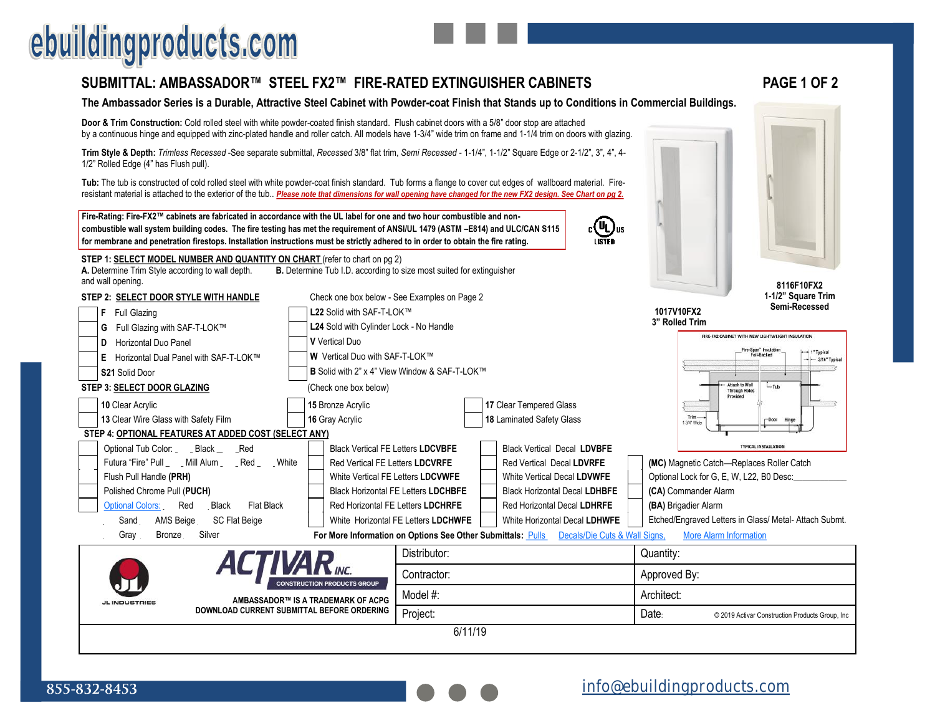## ebuildingproducts.com

and wall opening.

## **SUBMITTAL: AMBASSADOR™ STEEL FX2™ FIRE-RATED EXTINGUISHER CABINETS PAGE 1 OF 2**

### **The Ambassador Series is a Durable, Attractive Steel Cabinet with Powder-coat Finish that Stands up to Conditions in Commercial Buildings.**

**Door & Trim Construction:** Cold rolled steel with white powder-coated finish standard. Flush cabinet doors with a 5/8" door stop are attached by a continuous hinge and equipped with zinc-plated handle and roller catch. All models have 1-3/4" wide trim on frame and 1-1/4 trim on doors with glazing.

**Trim Style & Depth:** *Trimless Recessed* -See separate submittal, *Recessed* 3/8" flat trim, *Semi Recessed* - 1-1/4", 1-1/2" Square Edge or 2-1/2", 3", 4", 4- 1/2" Rolled Edge (4" has Flush pull).

**Tub:** The tub is constructed of cold rolled steel with white powder-coat finish standard. Tub forms a flange to cover cut edges of wallboard material. Fireresistant material is attached to the exterior of the tub.. Please note that dimensions for wall opening have changed for the new FX2 design. See Chart on pg 2.

Optional Tub Color: \_\_\_\_ Black \_\_\_\_\_Red Black Vertical FE Letters **LDCVBFE** Black Vertical Decal **LDVBFE**

**10** Clear Acrylic **15** Bronze Acrylic **17** Clear Tempered Glass **13** Clear Wire Glass with Safety Film **16** Gray Acrylic **18** Laminated Safety Glass

**Fire-Rating: Fire-FX2™ cabinets are fabricated in accordance with the UL label for one and two hour combustible and noncombustible wall system building codes. The fire testing has met the requirement of ANSI/UL 1479 (ASTM –E814) and ULC/CAN S115 for membrane and penetration firestops. Installation instructions must be strictly adhered to in order to obtain the fire rating.**

**A.** Determine Trim Style according to wall depth. **B.** Determine Tub I.D. according to size most suited for extinguisher

**STEP 2: SELECT DOOR STYLE WITH HANDLE** Check one box below - See Examples on Page 2

**G** Full Glazing with SAF-T-LOK™ **L24** Sold with Cylinder Lock - No Handle

S21 Solid Door **B** Solid with 2" x 4" View Window & SAF-T-LOK™

**E** Horizontal Dual Panel with SAF-T-LOK™ **W** Vertical Duo with SAF-T-LOK™

**STEP 1: SELECT MODEL NUMBER AND QUANTITY ON CHART** (refer to chart on pg 2)

**F** Full Glazing **L22** Solid with SAF-T-LOK™

**STEP 3: SELECT DOOR GLAZING** (Check one box below)

**D Horizontal Duo Panel <b>V** Vertical Duo

**STEP 4: OPTIONAL FEATURES AT ADDED COST (SELECT ANY)** 





**8116F10FX2 1-1/2" Square Trim Semi-Recessed**

**1017V10FX2 3" Rolled Trim** 



| White<br>Futura "Fire" Pull Mill Alum<br>Red          | Red Vertical FE Letters LDCVRFE                                    | Red Vertical Decal LDVRFE            | (MC) Magnetic Catch-Replaces Roller Catch            |
|-------------------------------------------------------|--------------------------------------------------------------------|--------------------------------------|------------------------------------------------------|
| Flush Pull Handle (PRH)                               | White Vertical FE Letters LDCVWFE                                  | White Vertical Decal LDVWFE          | Optional Lock for G, E, W, L22, B0 Desc:             |
| Polished Chrome Pull (PUCH)                           | Black Horizontal FE Letters LDCHBFE                                | <b>Black Horizontal Decal LDHBFE</b> | (CA) Commander Alarm                                 |
| Flat Black<br>Red<br>Black<br><b>Optional Colors:</b> | Red Horizontal FE Letters LDCHRFE                                  | Red Horizontal Decal LDHRFE          | (BA) Brigadier Alarm                                 |
| AMS Beige<br>SC Flat Beige<br>Sand                    | White Horizontal FE Letters LDCHWFE                                | White Horizontal Decal LDHWFE        | Etched/Engraved Letters in Glass/ Metal- Attach Subm |
| Silver<br>Grav<br>Bronze                              | <b>For More Information on Options See Other Submittals: Pulls</b> | Decals/Die Cuts & Wall Signs.        | More Alarm Information                               |

Distributor: Quantity: Contractor: **Approved By: Approved By: CONSTRUCTION PRODUCTS GROUP** Model #: Architect:  **AMBASSADOR™ IS A TRADEMARK OF ACPG** JL INDUSTRIES **DOWNLOAD CURRENT SUBMITTAL BEFORE ORDERING** Project: example and the construction Project: Date: © 2019 Activar Construction Products Group, Inc 6/11/19